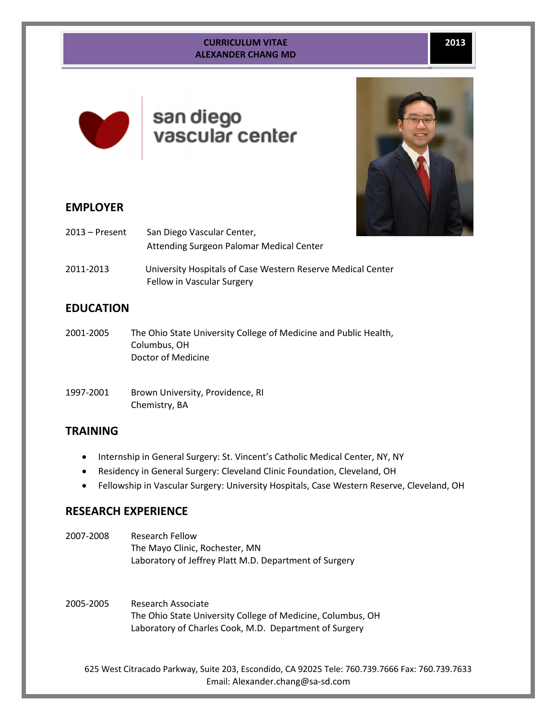#### **CURRICULUM VITAE ALEXANDER CHANG MD**



# san diego vascular center



## **EMPLOYER**

| $2013 -$ Present | San Diego Vascular Center,<br>Attending Surgeon Palomar Medical Center                    |  |
|------------------|-------------------------------------------------------------------------------------------|--|
| 2011-2013        | University Hospitals of Case Western Reserve Medical Center<br>Fellow in Vascular Surgery |  |

# **EDUCATION**

- 2001-2005 The Ohio State University College of Medicine and Public Health, Columbus, OH Doctor of Medicine
- 1997-2001 Brown University, Providence, RI Chemistry, BA

# **TRAINING**

- Internship in General Surgery: St. Vincent's Catholic Medical Center, NY, NY
- Residency in General Surgery: Cleveland Clinic Foundation, Cleveland, OH
- Fellowship in Vascular Surgery: University Hospitals, Case Western Reserve, Cleveland, OH

# **RESEARCH EXPERIENCE**

2007-2008 Research Fellow The Mayo Clinic, Rochester, MN Laboratory of Jeffrey Platt M.D. Department of Surgery

2005-2005 Research Associate The Ohio State University College of Medicine, Columbus, OH Laboratory of Charles Cook, M.D. Department of Surgery

625 West Citracado Parkway, Suite 203, Escondido, CA 92025 Tele: 760.739.7666 Fax: 760.739.7633 Email: Alexander.chang@sa-sd.com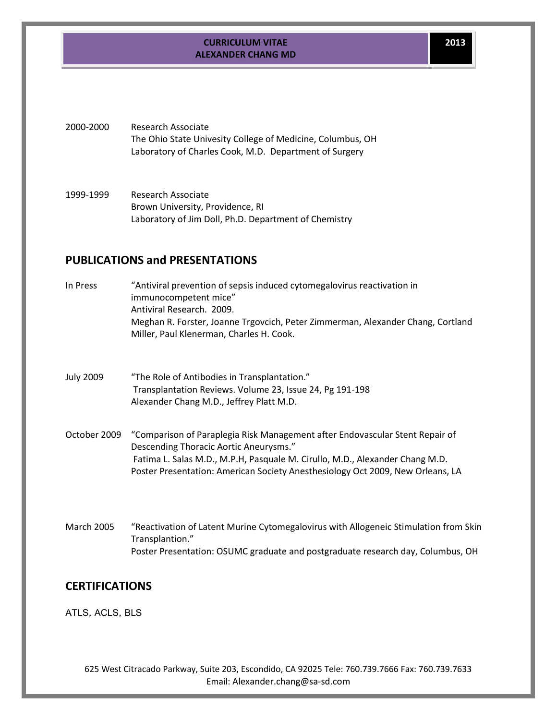2000-2000 Research Associate The Ohio State Univesity College of Medicine, Columbus, OH Laboratory of Charles Cook, M.D. Department of Surgery

1999-1999 Research Associate Brown University, Providence, RI Laboratory of Jim Doll, Ph.D. Department of Chemistry

#### **PUBLICATIONS and PRESENTATIONS**

- In Press "Antiviral prevention of sepsis induced cytomegalovirus reactivation in immunocompetent mice" Antiviral Research. 2009. Meghan R. Forster, Joanne Trgovcich, Peter Zimmerman, Alexander Chang, Cortland Miller, Paul Klenerman, Charles H. Cook.
- July 2009 "The Role of Antibodies in Transplantation." Transplantation Reviews. Volume 23, Issue 24, Pg 191-198 Alexander Chang M.D., Jeffrey Platt M.D.
- October 2009 "Comparison of Paraplegia Risk Management after Endovascular Stent Repair of Descending Thoracic Aortic Aneurysms." Fatima L. Salas M.D., M.P.H, Pasquale M. Cirullo, M.D., Alexander Chang M.D. Poster Presentation: American Society Anesthesiology Oct 2009, New Orleans, LA
- March 2005 "Reactivation of Latent Murine Cytomegalovirus with Allogeneic Stimulation from Skin Transplantion." Poster Presentation: OSUMC graduate and postgraduate research day, Columbus, OH

## **CERTIFICATIONS**

ATLS, ACLS, BLS

625 West Citracado Parkway, Suite 203, Escondido, CA 92025 Tele: 760.739.7666 Fax: 760.739.7633 Email: Alexander.chang@sa-sd.com